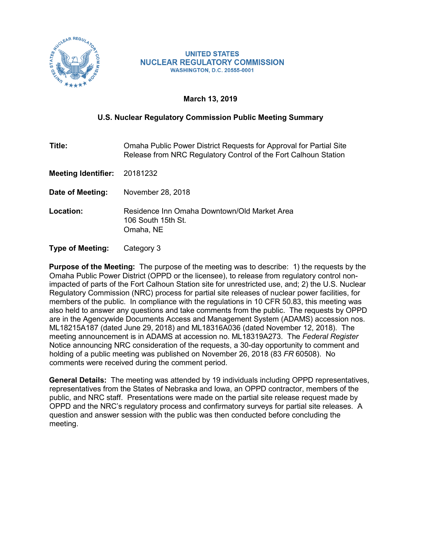

#### **UNITED STATES NUCLEAR REGULATORY COMMISSION WASHINGTON, D.C. 20555-0001**

# **March 13, 2019**

# **U.S. Nuclear Regulatory Commission Public Meeting Summary**

**Title:** Omaha Public Power District Requests for Approval for Partial Site Release from NRC Regulatory Control of the Fort Calhoun Station

**Meeting Identifier:** 20181232

**Date of Meeting:** November 28, 2018

**Location:** Residence Inn Omaha Downtown/Old Market Area 106 South 15th St. Omaha, NE

**Type of Meeting:** Category 3

**Purpose of the Meeting:** The purpose of the meeting was to describe: 1) the requests by the Omaha Public Power District (OPPD or the licensee), to release from regulatory control nonimpacted of parts of the Fort Calhoun Station site for unrestricted use, and; 2) the U.S. Nuclear Regulatory Commission (NRC) process for partial site releases of nuclear power facilities, for members of the public. In compliance with the regulations in 10 CFR 50.83, this meeting was also held to answer any questions and take comments from the public. The requests by OPPD are in the Agencywide Documents Access and Management System (ADAMS) accession nos. ML18215A187 (dated June 29, 2018) and ML18316A036 (dated November 12, 2018). The meeting announcement is in ADAMS at accession no. ML18319A273. The *Federal Register* Notice announcing NRC consideration of the requests, a 30-day opportunity to comment and holding of a public meeting was published on November 26, 2018 (83 *FR* 60508). No comments were received during the comment period.

**General Details:** The meeting was attended by 19 individuals including OPPD representatives, representatives from the States of Nebraska and Iowa, an OPPD contractor, members of the public, and NRC staff. Presentations were made on the partial site release request made by OPPD and the NRC's regulatory process and confirmatory surveys for partial site releases. A question and answer session with the public was then conducted before concluding the meeting.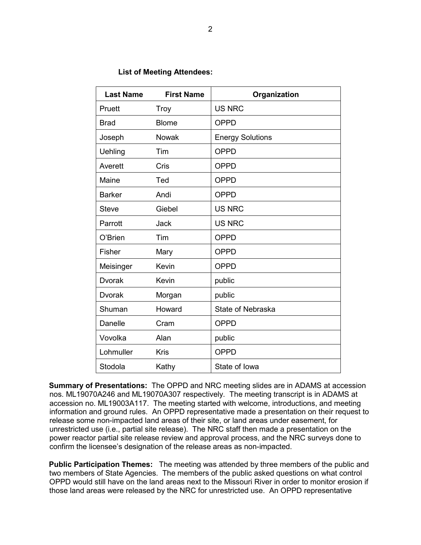#### **List of Meeting Attendees:**

| <b>Last Name</b> | <b>First Name</b> | Organization            |  |
|------------------|-------------------|-------------------------|--|
| Pruett           | <b>Troy</b>       | <b>US NRC</b>           |  |
| <b>Brad</b>      | <b>Blome</b>      | <b>OPPD</b>             |  |
| Joseph           | Nowak             | <b>Energy Solutions</b> |  |
| Uehling          | Tim               | <b>OPPD</b>             |  |
| Averett          | Cris              | <b>OPPD</b>             |  |
| Maine            | Ted               | <b>OPPD</b>             |  |
| <b>Barker</b>    | Andi              | <b>OPPD</b>             |  |
| <b>Steve</b>     | Giebel            | <b>US NRC</b>           |  |
| Parrott          | <b>Jack</b>       | <b>US NRC</b>           |  |
| O'Brien          | Tim               | <b>OPPD</b>             |  |
| Fisher           | Mary              | <b>OPPD</b>             |  |
| Meisinger        | Kevin             | <b>OPPD</b>             |  |
| <b>Dvorak</b>    | Kevin             | public                  |  |
| Dvorak           | Morgan            | public                  |  |
| Shuman           | Howard            | State of Nebraska       |  |
| Danelle          | Cram              | <b>OPPD</b>             |  |
| Vovolka          | Alan              | public                  |  |
| Lohmuller        | <b>Kris</b>       | <b>OPPD</b>             |  |
| Stodola          | Kathy             | State of Iowa           |  |

**Summary of Presentations:** The OPPD and NRC meeting slides are in ADAMS at accession nos. ML19070A246 and ML19070A307 respectively. The meeting transcript is in ADAMS at accession no. ML19003A117. The meeting started with welcome, introductions, and meeting information and ground rules. An OPPD representative made a presentation on their request to release some non-impacted land areas of their site, or land areas under easement, for unrestricted use (i.e., partial site release). The NRC staff then made a presentation on the power reactor partial site release review and approval process, and the NRC surveys done to confirm the licensee's designation of the release areas as non-impacted.

**Public Participation Themes:** The meeting was attended by three members of the public and two members of State Agencies. The members of the public asked questions on what control OPPD would still have on the land areas next to the Missouri River in order to monitor erosion if those land areas were released by the NRC for unrestricted use. An OPPD representative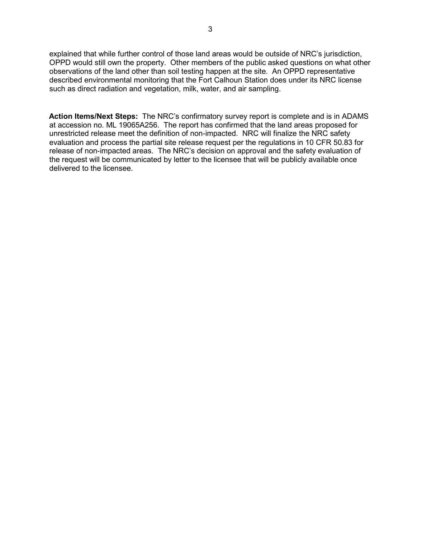explained that while further control of those land areas would be outside of NRC's jurisdiction, OPPD would still own the property. Other members of the public asked questions on what other observations of the land other than soil testing happen at the site. An OPPD representative described environmental monitoring that the Fort Calhoun Station does under its NRC license such as direct radiation and vegetation, milk, water, and air sampling.

**Action Items/Next Steps:** The NRC's confirmatory survey report is complete and is in ADAMS at accession no. ML 19065A256. The report has confirmed that the land areas proposed for unrestricted release meet the definition of non-impacted. NRC will finalize the NRC safety evaluation and process the partial site release request per the regulations in 10 CFR 50.83 for release of non-impacted areas. The NRC's decision on approval and the safety evaluation of the request will be communicated by letter to the licensee that will be publicly available once delivered to the licensee.